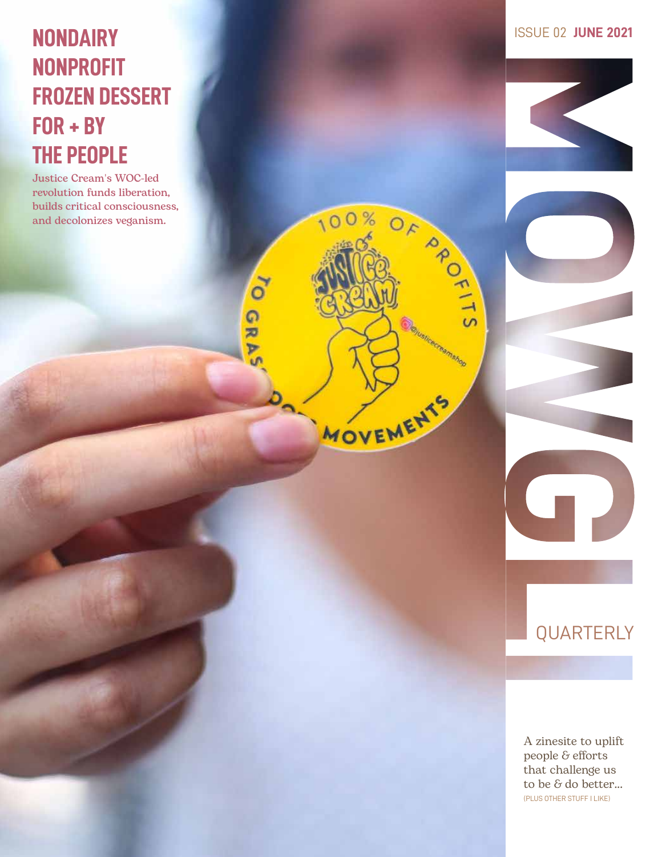## **NONDAIRY ISSUE 02 JUNE 2021 NONPROFIT FROZEN DESSERT FOR + BY THE PEOPLE**

Justice Cream's WOC-led revolution funds liberation, builds critical consciousness, and decolonizes veganism.

OF APORT

100%

MOVEMENTS

 $\delta$ 

GRA

## QUARTERLY

 $\mathbf{T}$ 

A zinesite to uplift people & efforts that challenge us to be & do better... (PLUS OTHER STUFF I LIKE)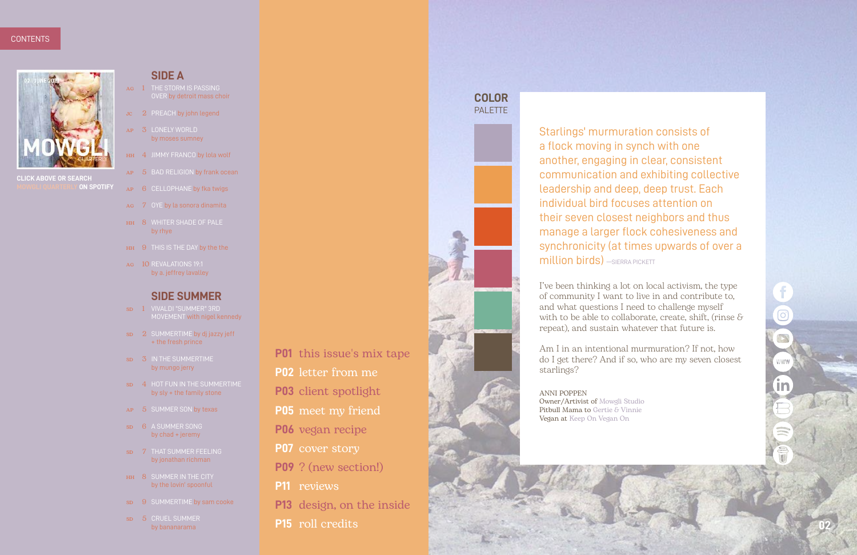### **COLOR PALETTE**



Starlings' murmuration consists of a flock moving in synch with one another, engaging in clear, consistent communication and exhibiting collective leadership and deep, deep trust. Each individual bird focuses attention on their seven closest neighbors and thus manage a larger flock cohesiveness and synchronicity (at times upwards of over a **million birds)** - SIERRA PICKETT

- ag 1 THE STORM IS PASSING OVER by detroit mass choir
- Jc 2 PREACH by john legend
- ap 3 LONELY WORLD by moses sumney
- HH 4 JIMMY FRANCO by lola wolf
- ap 5 BAD RELIGION by frank ocean
- ap 6 CELLOPHANE by fka twigs
- ag 7 OYE by la sonora dinamita
- HH 8 WHITER SHADE OF PALE by rhye
- HH 9 THIS IS THE DAY by the the
- ag 10 REVALATIONS 19:1 by a. jeffrey lavalley

I've been thinking a lot on local activism, the type of community I want to live in and contribute to, and what questions I need to challenge myself with to be able to collaborate, create, shift, (rinse  $\delta$ repeat), and sustain whatever that future is.

Am I in an intentional murmuration? If not, how do I get there? And if so, who are my seven closest starlings?

ANNI POPPEN Owner/Artivist of [Mowgli Studio](http://mowglistudio.com/) Pitbull Mama to [Gertie & Vinnie](http://facebook.com/shotgungertie) Vegan at [Keep On Vegan On](http://facebook.com/keeponveganon)

**02**

 $\overline{\textbf{O}}$ 

W W W

**[CLICK ABOVE OR SEARCH](https://open.spotify.com/playlist/2usQrvuilInPkJ77u28ai4?si=0d5ed4c8b1fa4e13)  MON SPOTIFY** 

in



#### **SIDE A**

#### **SIDE SUMMER**

- sd 1 VIVALDI "SUMMER" 3RD MOVEMENT with nigel kennedy
- sp 2 SUMMERTIME by dj jazzy jeff + the fresh prince
- sd 3 IN THE SUMMERTIME by mungo jerry
- sd 4 HOT FUN IN THE SUMMERTIME by sly + the family stone
- ap 5 SUMMER SON by texas
- sp 6 A SUMMER SONG by chad + jeremy
- sd 7 THAT SUMMER FEELING by jonathan richman
- HH 8 SUMMER IN THE CITY by the lovin' spoonful
- sp 9 SUMMERTIME by sam cooke
- sp 5 CRUEL SUMMER by bananarama
- **P01** this issue's mix tape
- **P02** letter from me
- **P03** client spotlight
- **P05** meet my friend
- **P06** vegan recipe
- **P07** cover story
- **P09** ? (new section!)
- **P11** reviews
- **P13** design, on the inside
- **P15** roll credits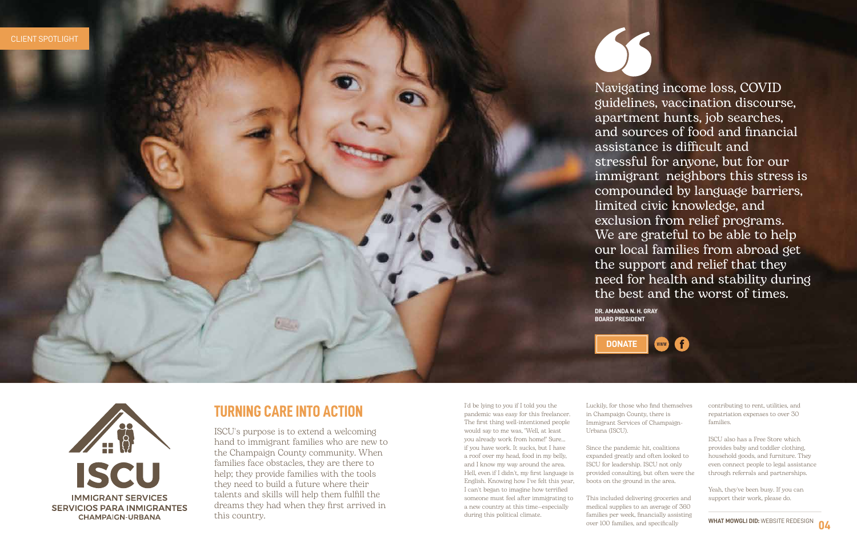I'd be lying to you if I told you the pandemic was easy for this freelancer. The first thing well-intentioned people would say to me was, "Well, at least you already work from home!" Sure... if you have work. It sucks, but I have a roof over my head, food in my belly, and I know my way around the area. Hell, even if I didn't, my first language is English. Knowing how I've felt this year, I can't began to imagine how terrified someone must feel after immigrating to a new country at this time—especially during this political climate.

## **TURNING CARE INTO ACTION**

ISCU's purpose is to extend a welcoming hand to immigrant families who are new to the Champaign County community. When families face obstacles, they are there to help; they provide families with the tools they need to build a future where their talents and skills will help them fulfill the dreams they had when they first arrived in this country.

Luckily, for those who find themselves in Champaign County, there is Immigrant Services of Champaign-Urbana (ISCU).

Since the pandemic hit, coalitions expanded greatly and often looked to ISCU for leadership. ISCU not only provided consulting, but often were the boots on the ground in the area.

This included delivering groceries and medical supplies to an average of 360 families per week, financially assisting over 100 families, and specifically

contributing to rent, utilities, and repatriation expenses to over 30 families.

ISCU also has a Free Store which provides baby and toddler clothing, household goods, and furniture. They even connect people to legal assistance through referrals and partnerships.

Yeah, they've been busy. If you can support their work, please do.



Navigating income loss, COVID guidelines, vaccination discourse, apartment hunts, job searches, and sources of food and financial assistance is difficult and stressful for anyone, but for our immigrant neighbors this stress is compounded by language barriers, limited civic knowledge, and exclusion from relief programs. We are grateful to be able to help our local families from abroad get the support and relief that they need for health and stability during the best and the worst of times.





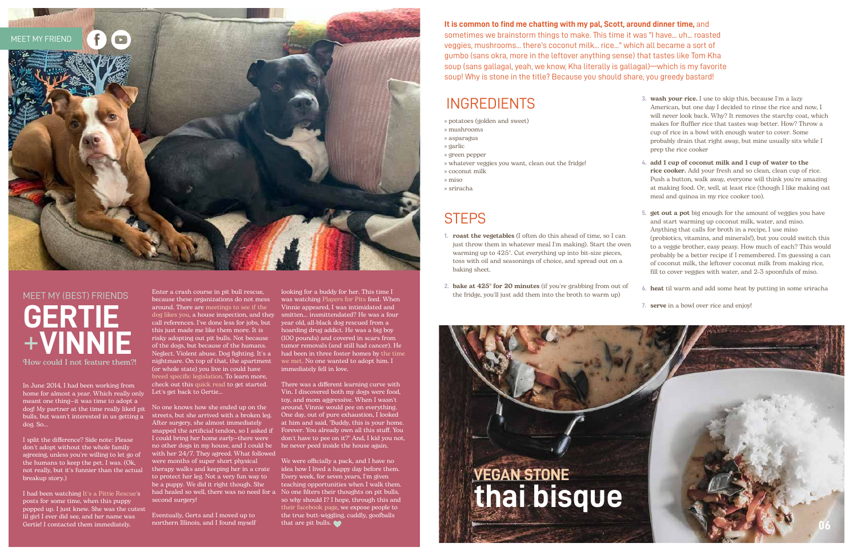In June 2014, I had been working from home for almost a year. Which really only meant one thing—it was time to adopt a dog! My partner at the time really liked pit bulls, but wasn't interested in us getting a dog. So...

I split the difference? Side note: Please don't adopt without the whole family agreeing, unless you're willing to let go of the humans to keep the pet. I was. (Ok, not really, but it's funnier than the actual breakup story.)

I had been watchin[g It's a Pittie Rescue's](https://rescueapittie.org/) posts for some time, when this puppy popped up. I just knew. She was the cutest lil girl I ever did see, and her name was Gertie! I contacted them immediately.

Enter a crash course in pit bull rescue, because these organizations do not mess around. There are meetings to see if the dog likes you[, a house inspection, and they](https://www.facebook.com/shotgungertie/posts/1956816511221186) call references. I've done less for jobs, but this just made me like them more. It is risky adopting out pit bulls. Not because of the dogs, but because of the humans. Neglect. Violent abuse. Dog fighting. It's a nightmare. On top of that, the apartment (or whole state) you live in could have [breed specific legislation. T](https://bslcensus.com/)o learn more, check out thi[s quick read t](http://mykidhaspaws.org/2017/04/help-pit-bulls/)o get started.

Let's get back to Gertie...

No one knows how she ended up on the streets, but she arrived with a broken leg. After surgery, she almost immediately snapped the artificial tendon, so I asked if I could bring her home early—there were no other dogs in my house, and I could be with her 24/7. They agreed. What followed were months of super short physical therapy walks and keeping her in a crate to protect her leg. Not a very fun way to be a puppy. We did it right though. She had healed so well, there was no need for a No one filters their thoughts on pit bulls, second surgery!

Eventually, Gerts and I moved up to northern Illinois, and I found myself

looking for a buddy for her. This time I was watching [Players for Pits f](https://www.playersforpits.com/)eed. When Vinnie appeared, I was intimidated and smitten... insmittendated? He was a four year old, all-black dog rescued from a hoarding drug addict. He was a big boy (100 pounds) and covered in scars from tumor removals (and still had cancer). He [had been in three foster homes by](https://www.facebook.com/shotgungertie/posts/2546698038899694) the time we met. No one wanted to adopt him. I immediately fell in love.

There was a different learning curve with Vin. I discovered both my dogs were food, toy, and mom aggressive. When I wasn't around, Vinnie would pee on everything. One day, out of pure exhaustion, I looked at him and said, "Buddy, this is your home. Forever. You already own all this stuff. You don't have to pee on it?" And, I kid you not, he never peed inside the house again.

We were officially a pack, and I have no idea how I lived a happy day before them. Every week, for seven years, I'm given teaching opportunities when I walk them. so why should I? I hope, through this and [their facebook page](https://www.facebook.com/shotgungertie), we expose people to the true butt-wiggling, cuddly, goofballs that are pit bulls.



## MEET MY (BEST) FRIENDS **GERTIE**  +**VINNIE** How could I not feature them?!

## INGREDIENTS

- » potatoes (golden and sweet)
- » mushrooms
- » asparagus
- » garlic
- » green pepper
- » whatever veggies you want, clean out the fridge!
- » coconut milk
- » miso
- » sriracha

## **STEPS**

- **1.** roast the vegetables (I often do this ahead of time, so I can just throw them in whatever meal I'm making). Start the oven warming up to 425°. Cut everything up into bit-size pieces, toss with oil and seasonings of choice, and spread out on a baking sheet.
- **2.** bake at 425° for 20 minutes (if you're grabbing from out of the fridge, you'll just add them into the broth to warm up)
- **3.** wash your rice. I use to skip this, because I'm a lazy American, but one day I decided to rinse the rice and now, I will never look back. Why? It removes the starchy coat, which makes for fluffier rice that tastes way better. How? Throw a cup of rice in a bowl with enough water to cover. Some probably drain that right away, but mine usually sits while I prep the rice cooker
- **4.** add 1 cup of coconut milk and 1 cup of water to the rice cooker. Add your fresh and so clean, clean cup of rice. Push a button, walk away, everyone will think you're amazing at making food. Or, well, at least rice (though I like making oat meal and quinoa in my rice cooker too).
- **5.** get out a pot big enough for the amount of veggies you have and start warming up coconut milk, water, and miso. Anything that calls for broth in a recipe, I use miso (probiotics, vitamins, and minerals!), but you could switch this to a veggie brother, easy peasy. How much of each? This would probably be a better recipe if I remembered. I'm guessing a can of coconut milk, the leftover coconut milk from making rice, fill to cover veggies with water, and 2-3 spoonfuls of miso.
- **6.** heat til warm and add some heat by putting in some sriracha
- **7.** serve in a bowl over rice and enjoy!



**It is common to find me chatting with my pal, Scott, around dinner time,** and sometimes we brainstorm things to make. This time it was "I have... uh... roasted veggies, mushrooms... there's coconut milk... rice..." which all became a sort of gumbo (sans okra, more in the leftover anything sense) that tastes like Tom Kha soup (sans gallagal, yeah, we know, Kha literally is gallagal)—which is my favorite soup! Why is stone in the title? Because you should share, you greedy bastard!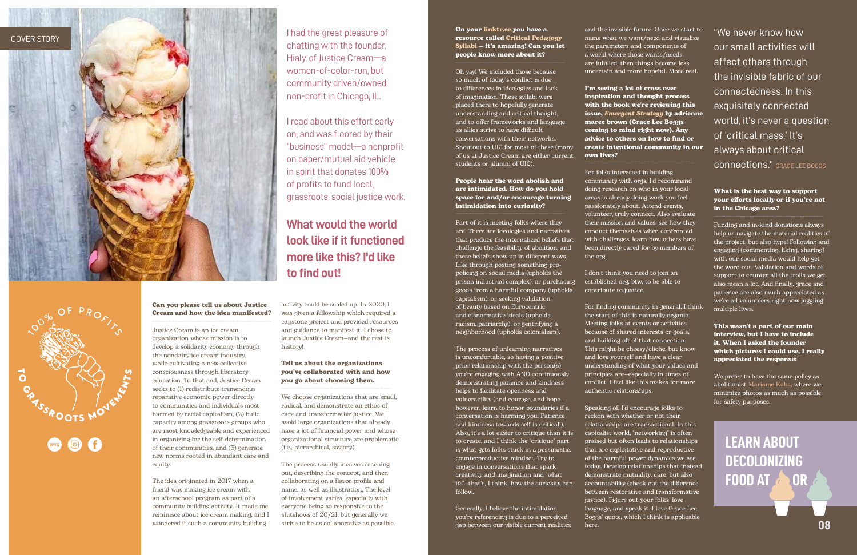



On you[r linktr.ee yo](https://linktr.ee/justicecream)u have a resource called Critical Pedagogy [Syllabi — it's amazing! Can you let](https://drive.google.com/drive/folders/1FLjTyp78SZIFMRlztkXkxScp1JtiHT_x)  people know more about it?

Oh yay! We included those because so much of today's conflict is due to differences in ideologies and lack of imagination. These syllabi were placed there to hopefully generate understanding and critical thought, and to offer frameworks and language as allies strive to have difficult conversations with their networks. Shoutout to UIC for most of these (many of us at Justice Cream are either current students or alumni of UIC).

People hear the word abolish and are intimidated. How do you hold space for and/or encourage turning intimidation into curiosity?

Part of it is meeting folks where they are. There are ideologies and narratives that produce the internalized beliefs that challenge the feasibility of abolition, and these beliefs show up in different ways. Like through posting something propolicing on social media (upholds the prison industrial complex), or purchasing goods from a harmful company (upholds capitalism), or seeking validation of beauty based on Eurocentric and cisnormative ideals (upholds racism, patriarchy), or gentrifying a neighborhood (upholds colonialism).

The process of unlearning narratives is uncomfortable, so having a positive prior relationship with the person(s) you're engaging with AND continuously demonstrating patience and kindness helps to facilitate openness and vulnerability (and courage, and hope however, learn to honor boundaries if a conversation is harming you. Patience and kindness towards self is critical!). Also, it's a lot easier to critique than it is to create, and I think the "critique" part is what gets folks stuck in a pessimistic, counterproductive mindset. Try to engage in conversations that spark creativity and imagination and "what ifs"—that's, I think, how the curiosity can follow.

Generally, I believe the intimidation you're referencing is due to a perceived gap between our visible current realities

and the invisible future. Once we start to name what we want/need and visualize the parameters and components of a world where those wants/needs are fulfilled, then things become less uncertain and more hopeful. More real.

I'm seeing a lot of cross over inspiration and thought process with the book we're reviewing this issue, *[Emergent Strategy](https://bookshop.org/books/emergent-strategy-shaping-change-changing-worlds/9781849352604?aid=23933&listref=reviews-a1ece677-fb40-4bab-a90e-fc86e995ef37)* by adrienne maree brown (Grace Lee Boggs coming to mind right now). Any advice to others on how to find or create intentional community in our own lives?

For folks interested in building community with orgs, I'd recommend doing research on who in your local areas is already doing work you feel passionately about. Attend events, volunteer, truly connect. Also evaluate their mission and values, see how they conduct themselves when confronted with challenges, learn how others have been directly cared for by members of the org.

I don't think you need to join an established org, btw, to be able to contribute to justice.

For finding community in general, I think the start of this is naturally organic. Meeting folks at events or activities because of shared interests or goals, and building off of that connection. This might be cheesy/cliche, but know and love yourself and have a clear understanding of what your values and principles are—especially in times of conflict. I feel like this makes for more authentic relationships.

> **LEARN ABOUT DECOLONIZING FOOD AT 2 O[R](https://www.instagram.com/p/CLCPKQclWIl/)**

Speaking of, I'd encourage folks to reckon with whether or not their relationships are transactional. In this capitalist world, "networking" is often praised but often leads to relationships that are exploitative and reproductive of the harmful power dynamics we see today. Develop relationships that instead demonstrate mutuality, care, but also accountability (check out the difference between restorative and transformative justice). Figure out your folks' love language, and speak it. I love Grace Lee Boggs' quote, which I think is applicable here.

"We never know how our small activities will affect others through the invisible fabric of our connectedness. In this exquisitely connected world, it's never a question of 'critical mass.' It's always about critical connections." [GRACE LEE BOGGS](https://www.boggsschool.org/grace-and-jimmy)

#### What is the best way to support your efforts locally or if you're not in the Chicago area?

Funding and in-kind donations always help us navigate the material realities of the project, but also hype! Following and engaging (commenting, liking, sharing) with our social media would help get the word out. Validation and words of support to counter all the trolls we get also mean a lot. And finally, grace and patience are also much appreciated as we're all volunteers right now juggling multiple lives.

This wasn't a part of our main interview, but I have to include it. When I asked the founder which pictures I could use, I really appreciated the response:

We prefer to have the same policy as abolitionist [Mariame Kaba,](http://mariamekaba.com/) where we minimize photos as much as possible for safety purposes.

Can you please tell us about Justice Cream and how the idea manifested?

Justice Cream is an ice cream organization whose mission is to develop a solidarity economy through the nondairy ice cream industry, while cultivating a new collective consciousness through liberatory education. To that end, Justice Cream seeks to (1) redistribute tremendous reparative economic power directly to communities and individuals most harmed by racial capitalism, (2) build capacity among grassroots groups who are most knowledgeable and experienced in organizing for the self-determination of their communities, and (3) generate new norms rooted in abundant care and equity.

The idea originated in 2017 when a friend was making ice cream with an afterschool program as part of a community building activity. It made me reminisce about ice cream making, and I wondered if such a community building

activity could be scaled up. In 2020, I was given a fellowship which required a capstone project and provided resources and guidance to manifest it. I chose to launch Justice Cream—and the rest is history!

#### Tell us about the organizations you've collaborated with and how you go about choosing them.

We choose organizations that are small, radical, and demonstrate an ethos of care and transformative justice. We avoid large organizations that already have a lot of financial power and whose organizational structure are problematic (i.e., hierarchical, saviory).

The process usually involves reaching out, describing the concept, and then collaborating on a flavor profile and name, as well as illustration. The level of involvement varies, especially with everyone being so responsive to the shitshows of 20/21, but generally we strive to be as collaborative as possible.

I had the great pleasure of chatting with the founder, Hialy, of Justice Cream—a women-of-color-run, but community driven/owned non-profit in Chicago, IL.

I read about this effort early on, and was floored by their "business" model—a nonprofit on paper/mutual aid vehicle in spirit that donates 100% of profits to fund local, grassroots, social justice work.

## **What would the world look like if it functioned more like this? I'd like to find out!**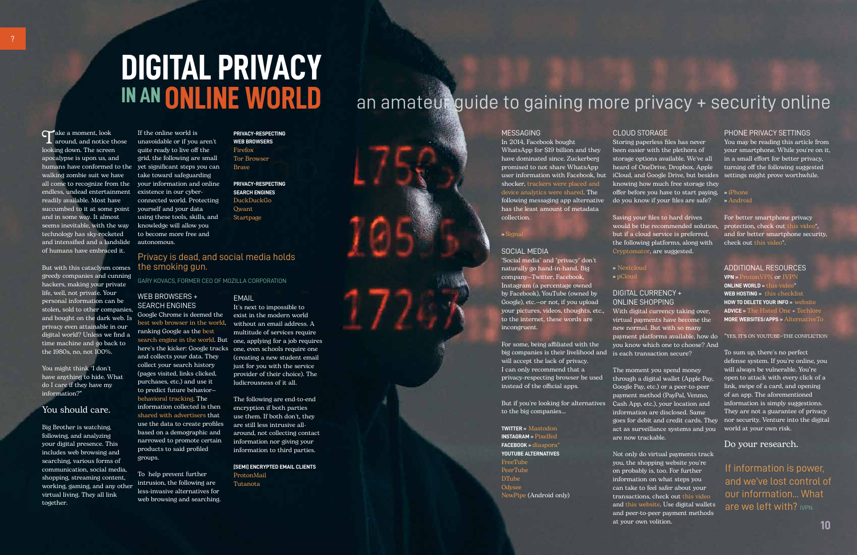?

## **DIGITAL PRIVACY IN AN ONLINE WORLD**

Take a moment, look around, and notice those looking down. The screen apocalypse is upon us, and humans have conformed to the yet significant steps you can walking zombie suit we have all come to recognize from the your information and online endless, undead entertainment existence in our cyberreadily available. Most have succumbed to it at some point yourself and your data and in some way. It almost seems inevitable, with the way technology has sky-rocketed and intensified and a landslide of humans have embraced it.

But with this cataclysm comes greedy companies and cunning hackers, making your private life, well, not private. Your personal information can be stolen, sold to other companies, and bought on the dark web. Is privacy even attainable in our digital world? Unless we find a time machine and go back to the 1980s, no, not 100%.

You might think "I don't have anything to hide. What do I care if they have my information?"

#### You should care.

Big Brother is watching, following, and analyzing your digital presence. This includes web browsing and searching, various forms of communication, social media, shopping, streaming content, working, gaming, and any other virtual living. They all link together.

If the online world is unavoidable or if you aren't quite ready to live off the grid, the following are small take toward safeguarding connected world. Protecting using these tools, skills, and knowledge will allow you to become more free and autonomous.

#### WEB BROWSERS + SEARCH ENGINES

Google Chrome is deemed the ranking Google as the best and collects your data. They collect your search history (pages visited, links clicked, purchases, etc.) and use it to predict future behavior behavioral tracking. The information collected is then shared with advertisers that use the data to create profiles based on a demographic and narrowed to promote certain products to said profiled groups.

best web browser in the world, without an email address. A search engine in the world. But one, applying for a job requires here's the kicker: Google tracks one, even schools require one It's next to impossible to exist in the modern world multitude of services require (creating a new student email just for you with the service provider of their choice). The ludicrousness of it all.

To help prevent further intrusion, the following are less-invasive alternatives for web browsing and searching.

#### **FMAIL**

**PRIVACY-RESPECTING WEB BROWSERS** Firefox Tor Browser Brave

**PRIVACY-RESPECTING SEARCH ENGINES** DuckDuckGo Qwant Startpage

The following are end-to-end encryption if both parties use them. If both don't, they are still less intrusive allaround, not collecting contact information nor giving your information to third parties.

**[SEMI] ENCRYPTED EMAIL CLIENTS** ProtonMail Tutanota

#### Privacy is dead, and social media holds the smoking gun.

GARY KOVACS, FORMER CEO OF MOZILLA CORPORATION

#### MESSAGING

In 2014, Facebook bought WhatsApp for \$19 billion and they have dominated since. Zuckerberg promised to not share WhatsApp user information with Facebook, but iCloud, and Google Drive, but besides settings might prove worthwhile. shocker, trackers were placed and device analytics were shared. The following messaging app alternative do you know if your files are safe? **»** Android has the least amount of metadata collection.

> If information is power, and we've lost control of our information... What are we left with? IVPN

**»** Signal

#### SOCIAL MEDIA

"Social media" and "privacy" don't naturally go hand-in-hand. Big company—Twitter, Facebook, Instagram (a percentage owned by Facebook), YouTube (owned by Google), etc.—or not, if you upload your pictures, videos, thoughts, etc., to the internet, these words are incongruent.

For some, being affiliated with the big companies is their livelihood and is each transaction secure? will accept the lack of privacy. I can only recommend that a privacy-respecting browser be used instead of the official apps.

to the big companies...

**TWITTER »** Mastodon **INSTAGRAM »** Pixelfed **FACEBOOK »** diaspora\* **YOUTUBE ALTERNATIVES** FreeTube PeerTube DTube Odysee NewPipe (Android only)

#### CLOUD STORAGE

Saving your files to hard drives but if a cloud service is preferred, the following platforms, along with Cryptomator, are suggested.

But if you're looking for alternatives Cash App, etc.), your location and The moment you spend money Google Pay, etc.) or a peer-to-peer payment method (PayPal, Venmo, information are disclosed. Same act as surveillance systems and you world at your own risk. are now trackable.

**»** Nextcloud

**»** pCloud

#### DIGITAL CURRENCY + ONLINE SHOPPING

With digital currency taking over, virtual payments have become the new normal. But with so many you know which one to choose? And

Storing paperless files has never been easier with the plethora of storage options available. We've all heard of OneDrive, Dropbox, Apple knowing how much free storage they offer before you have to start paying, **»** iPhone

would be the recommended solution, protection, check out this video\*, For better smartphone privacy and for better smartphone security, check out this video\*.

Not only do virtual payments track you, the shopping website you're on probably is, too. For further information on what steps you can take to feel safer about your transactions, check out this video and this website. Use digital wallets and peer-to-peer payment methods at your own volition.

payment platforms available, how do \*YES, IT'S ON YOUTUBE—THE CONFLICTION

#### PHONE PRIVACY SETTINGS

You may be reading this article from your smartphone. While you're on it, in a small effort for better privacy, turning off the following suggested

through a digital wallet (Apple Pay, open to attack with every click of a goes for debit and credit cards. They nor security. Venture into the digital To sum up, there's no perfect defense system. If you're online, you will always be vulnerable. You're link, swipe of a card, and opening of an app. The aforementioned information is simply suggestions. They are not a guarantee of privacy

#### ADDITIONAL RESOURCES

**VPN »** ProtonVPN or IVPN **ONLINE WORLD »** this video \* **WEB HOSTING »** this checklist **HOW TO DELETE YOUR INFO »** website **ADVICE »** The Hated One + Techlore **MORE WEBSITES/APPS »** AlternativeTo

Do your research.

## an amateur guide to gaining more privacy + security online

**10**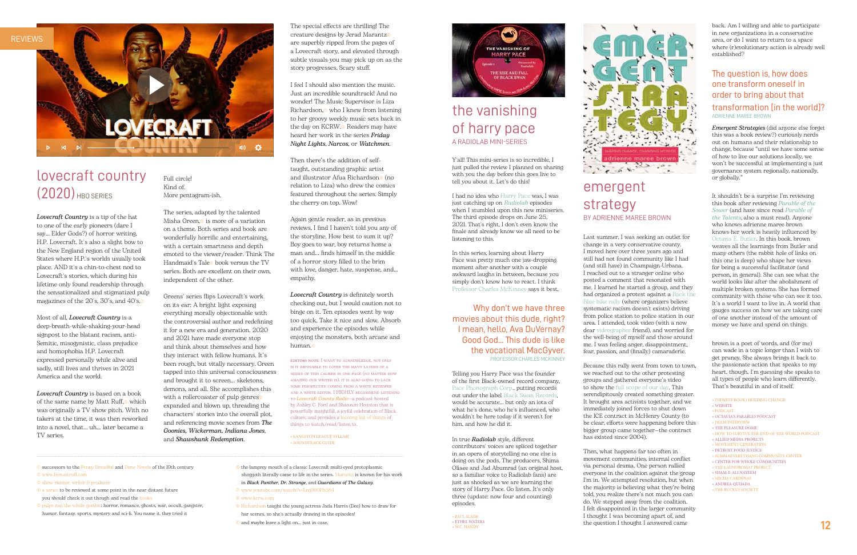Full circle! Kind of. More pentagram-ish.

The series, adapted by the talented Misha Green.<sup>3</sup> is more of a variation on a theme. Both series and book are wonderfully horrific and entertaining, with a certain smartness and depth emoted to the viewer/reader. Think The Handmaid's Tale<sup>®</sup> book versus the TV series. Both are excellent on their own, independent of the other.

Greens' series flips Lovecraft's work on its ear: A bright light exposing everything morally objectionable with the controversial author and redefining it for a new era and generation. 2020 and 2021 have made everyone stop and think about themselves and how they interact with fellow humans. It's been rough, but vitally necessary. Green tapped into this universal consciousness and brought it to screen... skeletons, demons, and all. She accomplishes this with a rollercoaster of pulp genres<sup>®</sup> expanded and blown up, threading the characters' stories into the overall plot, and referencing movie scenes from *The Goonies, Wickerman, Indiana Jones*, and *Shawshank Redemption*.

The special effects are thrilling! The creature designs by Jerad Marantz<sup>®</sup> are superbly ripped from the pages of a Lovecraft story, and elevated through subtle visuals you may pick up on as the story progresses. Scary stuff.

I feel I should also mention the music. Just an incredible soundtrack! And no wonder! The Music Supervisor is Liza Richardson, $\circ$  who I knew from listening to her groovy weekly music sets back in the day on KCRW.<sup>®</sup> Readers may have heard her work in the series *Friday Night Lights*, *Narcos*, or *Watchmen*.

Then there's the addition of selftaught, outstanding graphic artist and illustrator Afua Richardson<sup>®</sup> (no relation to Liza) who drew the comics featured throughout the series. Simply the cherry on top. Wow!

Again gentle reader, as in previous reviews, I find I haven't told you any of the storyline. How best to sum it up? Boy goes to war, boy returns home a man and... finds himself in the middle of a horror story filled to the brim with love, danger, hate, suspense, and... empathy.

*Lovecraft Country* is definitely worth checking out, but I would caution not to binge on it. Ten episodes went by way too quick. Take it nice and slow. Absorb and experience the episodes while enjoying the monsters, both arcane and human.©

## lovecraft country (2020) HBO SERIES

editors note: I want to acknowledge, not only is it impossible to cover the many layers of a series of this caliber in one page (no matter how amazing our writer is), it is also going to lack some perspective coming from a white reviewer and a white editor. I HIGHLY recommend listening to *Lovecraft County Radio*—a podcast hosted by Ashley C. Ford and Shannon Houston that is powerfully insightful, a joyful celebration of Black culture, and provides a loooong list of things of things to watch/read/listen to.

» LANGSTON LEAGUE SYLLABI » SOUNDTRACK GUIDE

*Lovecraft Country* is a tip of the hat to one of the early pioneers (dare I say... Elder Gods?) of horror writing, H.P. Lovecraft. It's also a slight bow to the New England region of the United States where H.P.'s worlds usually took place. AND it's a chin-to-chest nod to Lovecraft's stories, which during his lifetime only found readership through the sensationalized and stigmatized pulp magazines of the 20's, 30's, and 40's.1

Most of all, *Lovecraft Country* is a deep-breath-while-shaking-your-head signpost to the blatant racism, anti-Semitic, misogynistic, class prejudice and homophobia H.P. Lovecraft expressed personally while alive and sadly, still lives and thrives in 2021 America and the world.

*Lovecraft Country* is based on a book of the same name by Matt Ruff,<sup>2</sup> which was originally a TV show pitch. With no takers at the time, it was then reworked into a novel, that... uh... later became a TV series.

- 1 successors to the Penny Dreadful and Dime Novels of the 19th century 2 www.bymattruff.com
- 3 show runner, writer & producer
- 4 a series to be reviewed at some point in the near distant future you should check it out though and read the books
- 5 pulps ran the whole gambit: horror, romance, ghosts, war, occult, gangster, humor, fantasy, sports, mystery and sci-fi. You name it, they tried it
- 6 the lamprey mouth of a classic Lovecraft multi-eyed protoplasmic shoggoth literally came to life in the series. Marantz is known for his work in *Black Panther*, *Dr. Strange*, and *Guardians of The Galaxy*.
- 7 www.youtube.com/watch?v=Lng960Ph584
- 8 www.kcrw.com
- 9 Richardson taught the young actress Jada Harris (Dee) how to draw for her scenes, so she's actually drawing in the episodes!
- © and maybe leave a light on... just in case.





Y'all! This mini-series is so incredible, I just pulled the review I planned on sharing with you the day before this goes live to tell you about it. Let's do this!

I had no idea who Harry Pace was, I was just catching up on *Radiolab* episodes when I stumbled upon this new miniseries. The third episode drops on June 25, 2021. That's right, I don't even know the finale and already know we all need to be listening to this.

In this series, learning about Harry Pace was pretty much one jaw-dropping moment after another with a couple awkward laughs in between, because you simply don't know how to react. I think Professor Charles McKinney says it best,

Why don't we have three movies about this dude, right? I mean, hello, Ava DuVernay? Good God... This dude is like the vocational MacGyver. PROFESSOR CHARLES MCKINNEY

Telling you Harry Pace was the founder of the first Black-owned record company, Pace Phonograph Corp., putting records out under the label Black Swan Records, would be accurate... but only an iota of what he's done, who he's influenced, who wouldn't be here today if it weren't for him, and how he did it.

In true *Radiolab* style, different contributors' voices are spliced together in an opera of storytelling no one else is doing on the pods. The producers, Shima Oliaee and Jad Abumrad (an original host, so a familiar voice to Radiolab fans) are just as shocked as we are learning the story of Harry Pace. Go listen. It's only three (update: now four and counting) episodes.

» PAUL SLADE » ETHEL WATERS « W.C. HANDY



## the vanishing of harry pace A RADIOLAB MINI-SERIES

Last summer, I was seeking an outlet for change in a very conservative county. I moved here over three years ago and still had not found community like I had (and still have) in Champaign-Urbana. I reached out to a stranger online who posted a comment that resonated with me. I learned he started a group, and they had organized a protest against a Back the Blue bike rally (where organizers believe systematic racism doesn't exists) driving from police station to police station in our area. I attended, took video (with a now dear videographer friend), and worried for the well-being of myself and those around me. I was feeling anger, disappointment, fear, passion, and (finally) camaraderie.

Because this rally went from town to town, we reached out to the other protesting groups and gathered everyone's video to show the full scope of our day. This serendipitously created something greater. It brought area activists together, and we immediately joined forces to shut down the ICE contract in McHenry County (to be clear, efforts were happening before this bigger group came together—the contract has existed since 2004).

Then, what happens far too often in movement communities, internal conflict via personal drama. One person rallied everyone in the coalition against the group I'm in. We attempted resolution, but when the majority is believing what they're being told, you realize there's not much you can do. We stepped away from the coalition. I felt disappointed in the larger community I thought I was becoming apart of, and the question I thought I answered came

back. Am I willing and able to participate in new organizations in a conservative area, or do I want to return to a space where (r)evolutionary action is already well established?

#### The question is, how does one transform oneself in order to bring about that

#### transformation [in the world]? ADRIENNE MAREE BROWN

*Emergent Strategies* (did anyone else forget this was a book review?) curiously nerds out on humans and their relationship to change, because "until we have some sense of how to live our solutions locally, we won't be successful at implementing a just governance system regionally, nationally, or globally."

It shouldn't be a surprise I'm reviewing this book after reviewing *Parable of the Sower* (and have since read *Parable of the Talents*, also a must read). Anyone who knows adrienne maree brown knows her work is heavily influenced by Octavia E. Butler. In this book, brown weaves all the learnings from Butler and many others (the rabbit hole of links on this one is deep) who shape her views for being a successful facilitator (and person, in general). She can see what the world looks like after the abolishment of multiple broken systems. She has formed community with those who can see it too. It's a world I want to live in. A world that gauges success on how we are taking care of one another instead of the amount of money we have and spend on things.

brown is a poet of words, and (for me) can wade in a topic longer than I wish to get pruney. She always brings it back to the passionate action that speaks to my heart, though. I'm guessing she speaks to all types of people who learn differently. That's beautiful in and of itself.

- » (NEWEST BOOK) HOLDING CHANGE
- » WEBSITE » PODCAST
- » OCTAVIA'S PARABLES PODCAST
- » DEEM INTERVIEW
- » THE PLEASURE DOME
- » HOW TO SURVIVE THE END OF THE WORLD PODCAST
- » ALLIED MEDIA PROJECTS
- » MOVEMENT GENERATION » DETROIT FOOD JUSTICE
- 
- » SUMMAEVERYTHANG COMMUNITY CENTER
- » CENTER FOR WHOLE COMMUNITIES
- » THE LAUNDROMAT PROJECT
- » SHAM-E-ALI NAYEEM
- » MICHA CÁRDENAS
- » ANDREA QUIJADA
- » THE RUCKUS SOCIETY

## emergent strategy BY ADRIENNE MAREE BROWN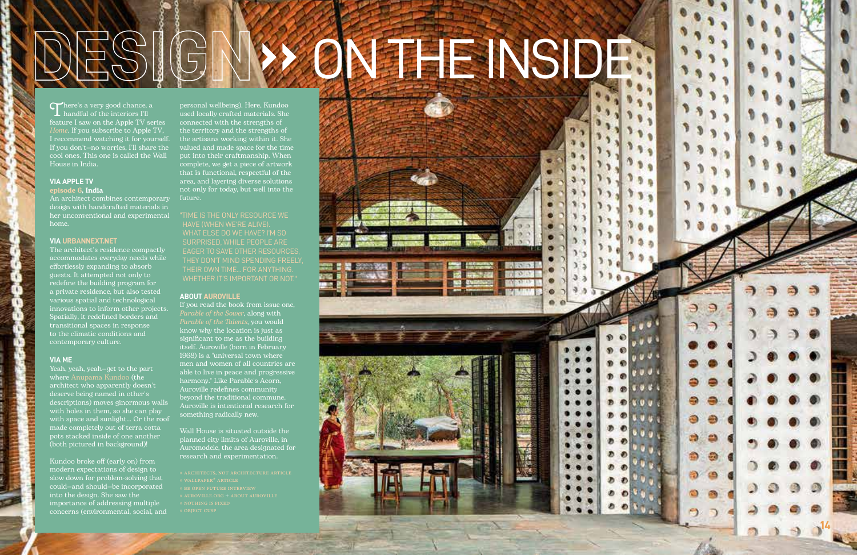# **SIGNWON THE NSIDE:**

There's a very good chance, a  $\mathbf{\Sigma}$  handful of the interiors I'll feature I saw on the Apple TV series *Home*. If you subscribe to Apple TV, I recommend watching it for yourself. If you don't—no worries, I'll share the cool ones. This one is called the Wall House in India.

#### **VIA APPLE TV**

episode 6, India

An architect combines contemporary design with handcrafted materials in her unconventional and experimental home.

#### **VIA URBANNEXT.NET**

The architect's residence compactly accommodates everyday needs while effortlessly expanding to absorb guests. It attempted not only to redefine the building program for a private residence, but also tested various spatial and technological innovations to inform other projects. Spatially, it redefined borders and transitional spaces in response to the climatic conditions and contemporary culture.

#### **VIA ME**

Yeah, yeah, yeah—get to the part where Anupama Kundoo (the architect who apparently doesn't deserve being named in other's descriptions) moves ginormous walls with holes in them, so she can play with space and sunlight... Or the roof made completely out of terra cotta pots stacked inside of one another (both pictured in background)!

Kundoo broke off (early on) from modern expectations of design to slow down for problem-solving that could—and should—be incorporated into the design. She saw the importance of addressing multiple concerns (environmental, social, and

personal wellbeing). Here, Kundoo used locally crafted materials. She connected with the strengths of the territory and the strengths of the artisans working within it. She valued and made space for the time put into their craftmanship. When complete, we get a piece of artwork that is functional, respectful of the area, and layering diverse solutions not only for today, but well into the future.

"TIME IS THE ONLY RESOURCE WE HAVE (WHEN WE'RE ALIVE). SURPRISED, WHILE PEOPLE ARE EAGER TO SAVE OTHER RESOURCES, THEY DON'T MIND SPENDING FREELY, WHETHER IT'S IMPORTANT OR NOT."

#### **ABOUT AUROVILLE**

If you read the book from issue one, *Parable of the Sower*, along with *Parable of the Talents*, you would know why the location is just as significant to me as the building itself. Auroville (born in February 1968) is a "universal town where men and women of all countries are able to live in peace and progressive harmony." Like Parable's Acorn, Auroville redefines community beyond the traditional commune. Auroville is intentional research for something radically new.

Wall House is situated outside the planned city limits of Auroville, in Auromodele, the area designated for research and experimentation.